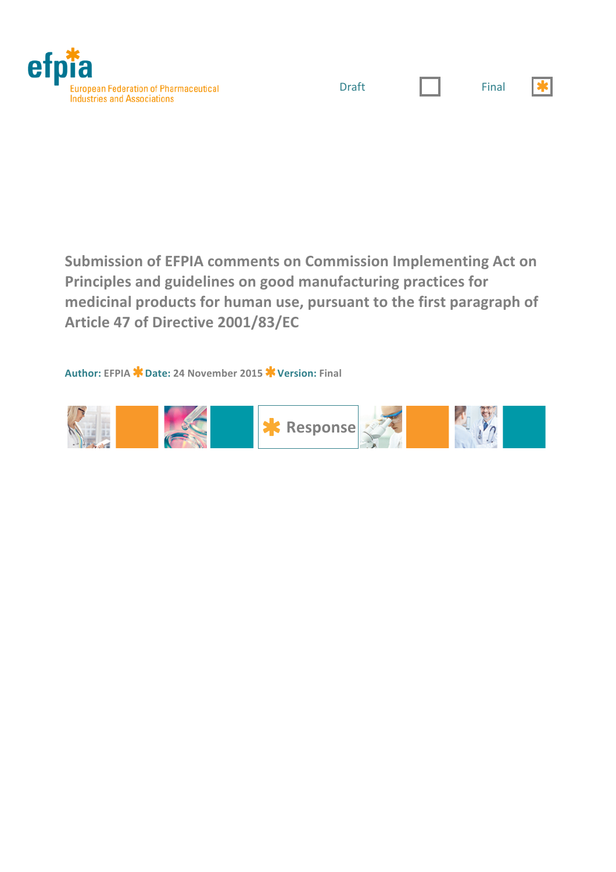



|  | × |             |  |
|--|---|-------------|--|
|  |   | ٠<br>$\sim$ |  |

 $\star$ 

**Submission of EFPIA comments on Commission Implementing Act on** Principles and guidelines on good manufacturing practices for medicinal products for human use, pursuant to the first paragraph of **Article!47!of!Directive!2001/83/EC**

**Author: EFPIA Date: 24!November!2015 Version: Final**

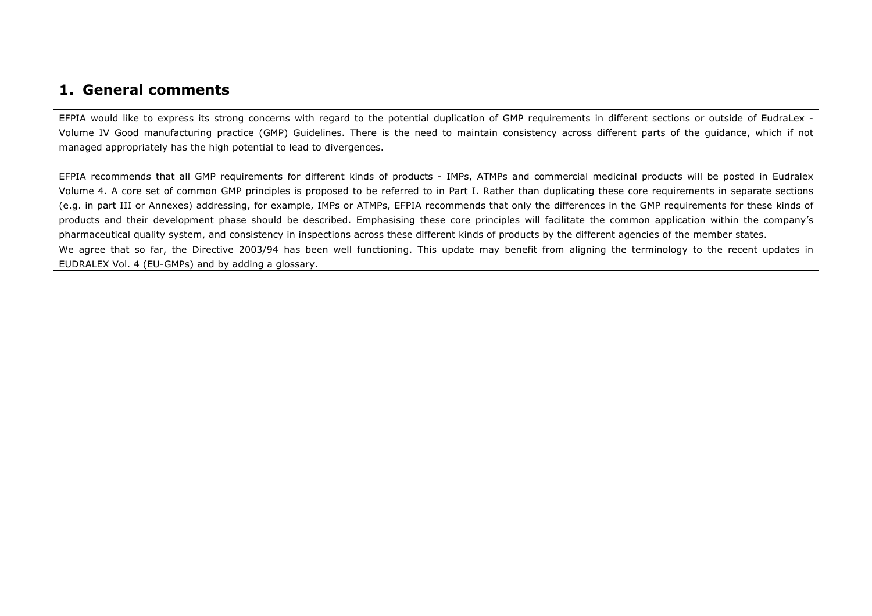## **1. General comments**

EFPIA would like to express its strong concerns with regard to the potential duplication of GMP requirements in different sections or outside of EudraLex - Volume IV Good manufacturing practice (GMP) Guidelines. There is the need to maintain consistency across different parts of the guidance, which if not managed appropriately has the high potential to lead to divergences.

EFPIA recommends that all GMP requirements for different kinds of products - IMPs, ATMPs and commercial medicinal products will be posted in Eudralex Volume 4. A core set of common GMP principles is proposed to be referred to in Part I. Rather than duplicating these core requirements in separate sections (e.g. in part III or Annexes) addressing, for example, IMPs or ATMPs, EFPIA recommends that only the differences in the GMP requirements for these kinds of products and their development phase should be described. Emphasising these core principles will facilitate the common application within the company's pharmaceutical quality system, and consistency in inspections across these different kinds of products by the different agencies of the member states.

We agree that so far, the Directive 2003/94 has been well functioning. This update may benefit from aligning the terminology to the recent updates in EUDRALEX Vol. 4 (EU-GMPs) and by adding a glossary.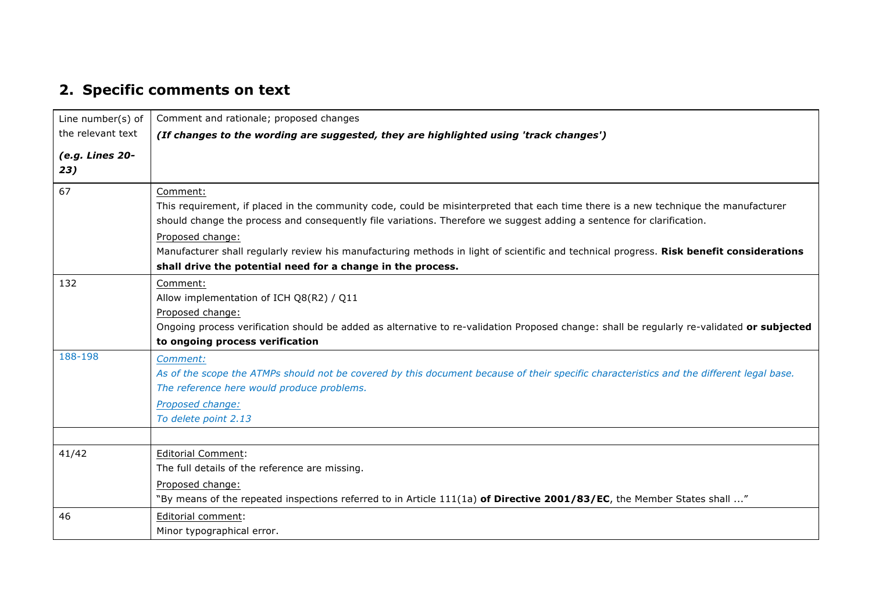## **2. Specific comments on text**

| Line number(s) of      | Comment and rationale; proposed changes                                                                                                                                                                                                                                                                                                                                                                                                                                                                 |
|------------------------|---------------------------------------------------------------------------------------------------------------------------------------------------------------------------------------------------------------------------------------------------------------------------------------------------------------------------------------------------------------------------------------------------------------------------------------------------------------------------------------------------------|
| the relevant text      | (If changes to the wording are suggested, they are highlighted using 'track changes')                                                                                                                                                                                                                                                                                                                                                                                                                   |
| (e.g. Lines 20-<br>23) |                                                                                                                                                                                                                                                                                                                                                                                                                                                                                                         |
| 67                     | Comment:<br>This requirement, if placed in the community code, could be misinterpreted that each time there is a new technique the manufacturer<br>should change the process and consequently file variations. Therefore we suggest adding a sentence for clarification.<br>Proposed change:<br>Manufacturer shall regularly review his manufacturing methods in light of scientific and technical progress. Risk benefit considerations<br>shall drive the potential need for a change in the process. |
| 132                    | Comment:<br>Allow implementation of ICH Q8(R2) / Q11<br>Proposed change:<br>Ongoing process verification should be added as alternative to re-validation Proposed change: shall be regularly re-validated or subjected<br>to ongoing process verification                                                                                                                                                                                                                                               |
| 188-198                | Comment:<br>As of the scope the ATMPs should not be covered by this document because of their specific characteristics and the different legal base.<br>The reference here would produce problems.<br>Proposed change:<br>To delete point 2.13                                                                                                                                                                                                                                                          |
| 41/42                  | <b>Editorial Comment:</b><br>The full details of the reference are missing.<br>Proposed change:<br>"By means of the repeated inspections referred to in Article 111(1a) of Directive 2001/83/EC, the Member States shall "                                                                                                                                                                                                                                                                              |
| 46                     | Editorial comment:<br>Minor typographical error.                                                                                                                                                                                                                                                                                                                                                                                                                                                        |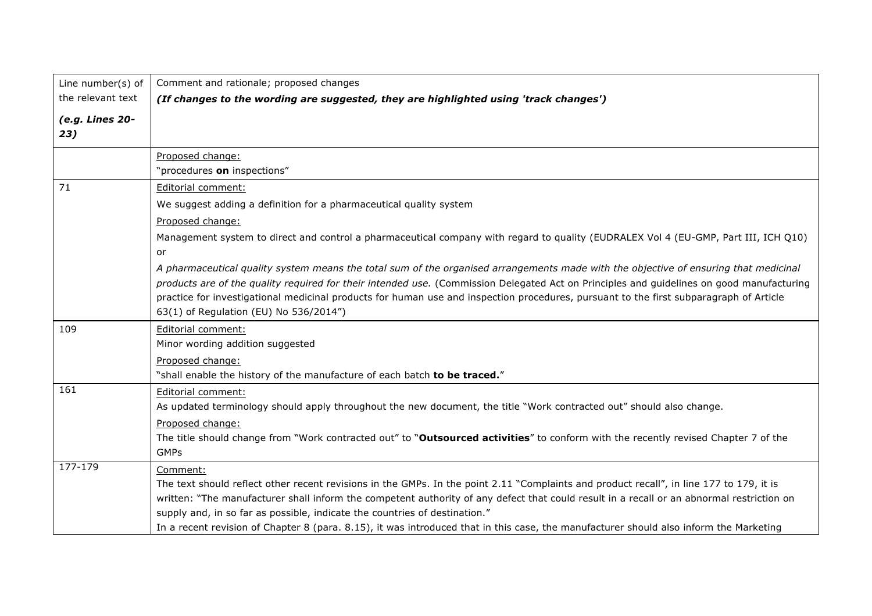| Line number(s) of      | Comment and rationale; proposed changes                                                                                                                                          |
|------------------------|----------------------------------------------------------------------------------------------------------------------------------------------------------------------------------|
| the relevant text      | (If changes to the wording are suggested, they are highlighted using 'track changes')                                                                                            |
| (e.g. Lines 20-<br>23) |                                                                                                                                                                                  |
|                        | Proposed change:                                                                                                                                                                 |
|                        | "procedures on inspections"                                                                                                                                                      |
| 71                     | Editorial comment:                                                                                                                                                               |
|                        | We suggest adding a definition for a pharmaceutical quality system                                                                                                               |
|                        | Proposed change:                                                                                                                                                                 |
|                        | Management system to direct and control a pharmaceutical company with regard to quality (EUDRALEX Vol 4 (EU-GMP, Part III, ICH Q10)                                              |
|                        | or                                                                                                                                                                               |
|                        | A pharmaceutical quality system means the total sum of the organised arrangements made with the objective of ensuring that medicinal                                             |
|                        | products are of the quality required for their intended use. (Commission Delegated Act on Principles and guidelines on good manufacturing                                        |
|                        | practice for investigational medicinal products for human use and inspection procedures, pursuant to the first subparagraph of Article<br>63(1) of Regulation (EU) No 536/2014") |
| 109                    | Editorial comment:                                                                                                                                                               |
|                        | Minor wording addition suggested                                                                                                                                                 |
|                        | Proposed change:                                                                                                                                                                 |
|                        | "shall enable the history of the manufacture of each batch to be traced."                                                                                                        |
| 161                    | Editorial comment:                                                                                                                                                               |
|                        | As updated terminology should apply throughout the new document, the title "Work contracted out" should also change.                                                             |
|                        | Proposed change:                                                                                                                                                                 |
|                        | The title should change from "Work contracted out" to "Outsourced activities" to conform with the recently revised Chapter 7 of the                                              |
|                        | <b>GMPs</b>                                                                                                                                                                      |
| 177-179                | Comment:                                                                                                                                                                         |
|                        | The text should reflect other recent revisions in the GMPs. In the point 2.11 "Complaints and product recall", in line 177 to 179, it is                                         |
|                        | written: "The manufacturer shall inform the competent authority of any defect that could result in a recall or an abnormal restriction on                                        |
|                        | supply and, in so far as possible, indicate the countries of destination."                                                                                                       |
|                        | In a recent revision of Chapter 8 (para. 8.15), it was introduced that in this case, the manufacturer should also inform the Marketing                                           |